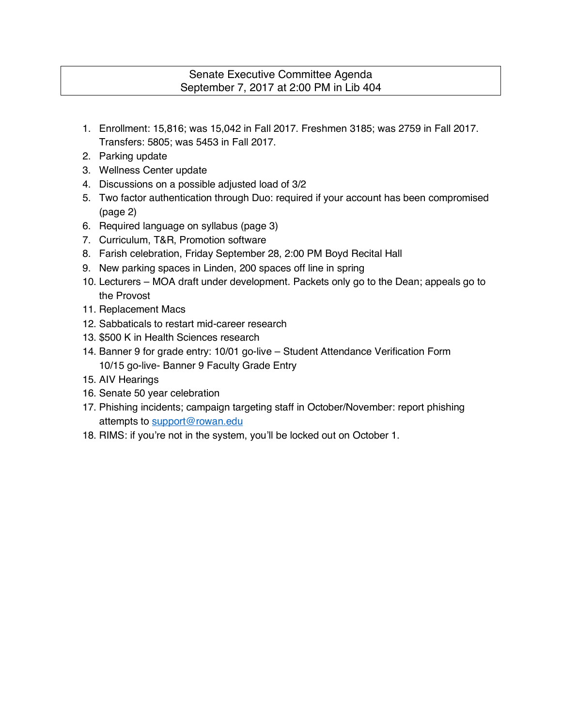# Senate Executive Committee Agenda September 7, 2017 at 2:00 PM in Lib 404

- 1. Enrollment: 15,816; was 15,042 in Fall 2017. Freshmen 3185; was 2759 in Fall 2017. Transfers: 5805; was 5453 in Fall 2017.
- 2. Parking update
- 3. Wellness Center update
- 4. Discussions on a possible adjusted load of 3/2
- 5. Two factor authentication through Duo: required if your account has been compromised (page 2)
- 6. Required language on syllabus (page 3)
- 7. Curriculum, T&R, Promotion software
- 8. Farish celebration, Friday September 28, 2:00 PM Boyd Recital Hall
- 9. New parking spaces in Linden, 200 spaces off line in spring
- 10. Lecturers MOA draft under development. Packets only go to the Dean; appeals go to the Provost
- 11. Replacement Macs
- 12. Sabbaticals to restart mid-career research
- 13. \$500 K in Health Sciences research
- 14. Banner 9 for grade entry: 10/01 go-live Student Attendance Verification Form 10/15 go-live- Banner 9 Faculty Grade Entry
- 15. AIV Hearings
- 16. Senate 50 year celebration
- 17. Phishing incidents; campaign targeting staff in October/November: report phishing attempts to support@rowan.edu
- 18. RIMS: if you're not in the system, you'll be locked out on October 1.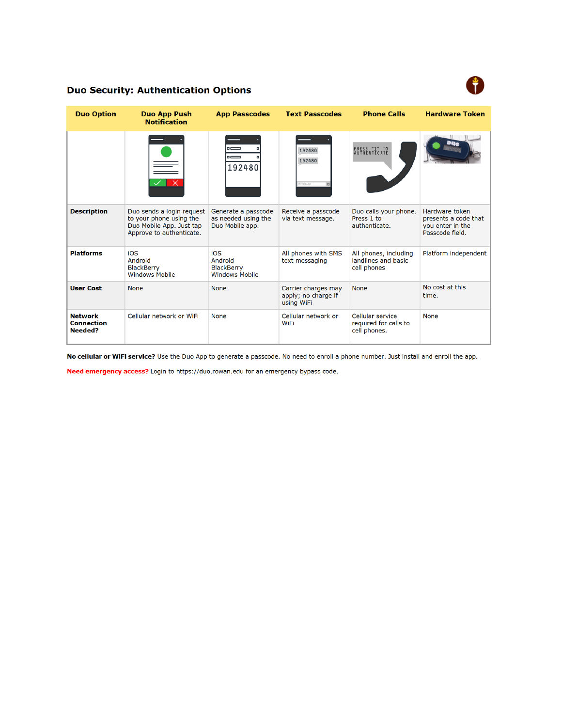

## **Duo Security: Authentication Options**

| <b>Duo Option</b>                              | <b>Duo App Push</b><br><b>Notification</b>                                                                   | <b>App Passcodes</b>                                          | <b>Text Passcodes</b>                                    | <b>Phone Calls</b>                                          | <b>Hardware Token</b>                                                         |
|------------------------------------------------|--------------------------------------------------------------------------------------------------------------|---------------------------------------------------------------|----------------------------------------------------------|-------------------------------------------------------------|-------------------------------------------------------------------------------|
|                                                |                                                                                                              | $=$<br>$=$<br>192480                                          | 192480<br>192480<br><b>IESSAGE</b>                       | PRESS "1" TO<br>AUTHENTICATE                                |                                                                               |
| <b>Description</b>                             | Duo sends a login request<br>to your phone using the<br>Duo Mobile App. Just tap<br>Approve to authenticate. | Generate a passcode<br>as needed using the<br>Duo Mobile app. | Receive a passcode<br>via text message.                  | Duo calls your phone.<br>Press 1 to<br>authenticate.        | Hardware token<br>presents a code that<br>you enter in the<br>Passcode field. |
| <b>Platforms</b>                               | iOS<br>Android<br><b>BlackBerry</b><br><b>Windows Mobile</b>                                                 | iOS<br>Android<br><b>BlackBerry</b><br><b>Windows Mobile</b>  | All phones with SMS<br>text messaging                    | All phones, including<br>landlines and basic<br>cell phones | Platform independent                                                          |
| <b>User Cost</b>                               | <b>None</b>                                                                                                  | <b>None</b>                                                   | Carrier charges may<br>apply; no charge if<br>using WiFi | <b>None</b>                                                 | No cost at this<br>time.                                                      |
| <b>Network</b><br><b>Connection</b><br>Needed? | Cellular network or WiFi                                                                                     | <b>None</b>                                                   | Cellular network or<br><b>WiFi</b>                       | Cellular service<br>required for calls to<br>cell phones.   | <b>None</b>                                                                   |

No cellular or WiFi service? Use the Duo App to generate a passcode. No need to enroll a phone number. Just install and enroll the app.

Need emergency access? Login to https://duo.rowan.edu for an emergency bypass code.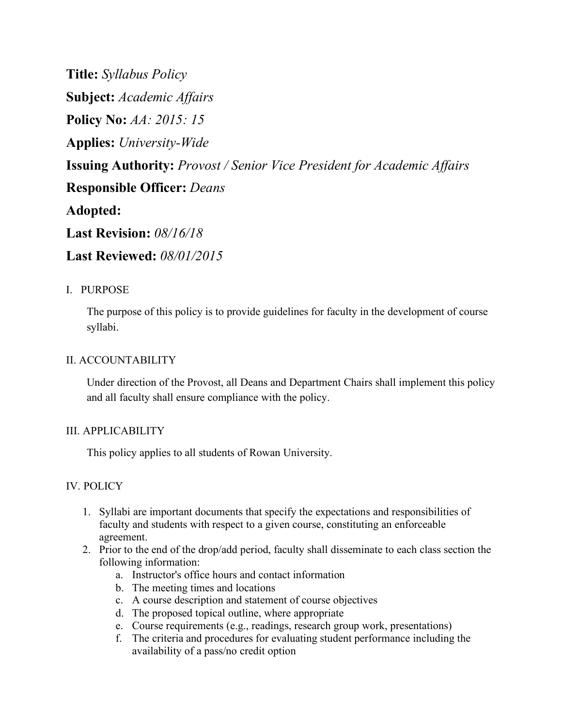**Title:** *Syllabus Policy* **Subject:** *Academic Affairs* **Policy No:** *AA: 2015: 15* **Applies:** *University-Wide* **Issuing Authority:** *Provost / Senior Vice President for Academic Affairs* **Responsible Officer:** *Deans* **Adopted: Last Revision:** *08/16/18* **Last Reviewed:** *08/01/2015*

## I. PURPOSE

The purpose of this policy is to provide guidelines for faculty in the development of course syllabi.

## II. ACCOUNTABILITY

Under direction of the Provost, all Deans and Department Chairs shall implement this policy and all faculty shall ensure compliance with the policy.

## III. APPLICABILITY

This policy applies to all students of Rowan University.

## IV. POLICY

- 1. Syllabi are important documents that specify the expectations and responsibilities of faculty and students with respect to a given course, constituting an enforceable agreement.
- 2. Prior to the end of the drop/add period, faculty shall disseminate to each class section the following information:
	- a. Instructor's office hours and contact information
	- b. The meeting times and locations
	- c. A course description and statement of course objectives
	- d. The proposed topical outline, where appropriate
	- e. Course requirements (e.g., readings, research group work, presentations)
	- f. The criteria and procedures for evaluating student performance including the availability of a pass/no credit option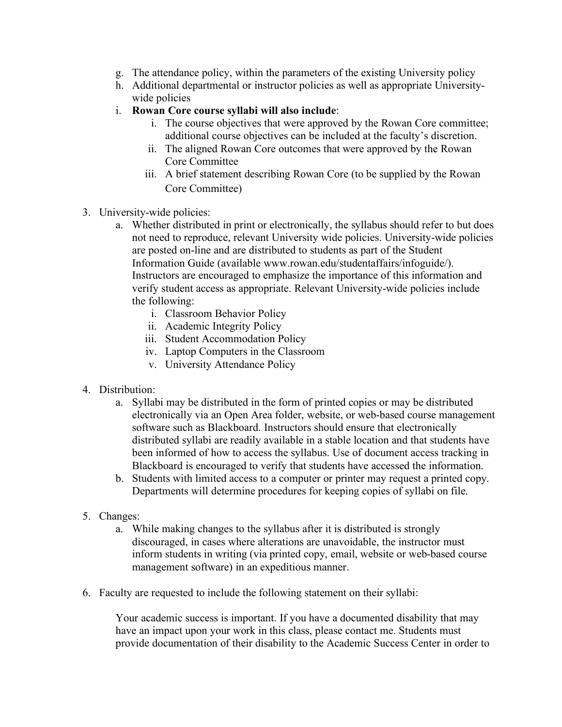- g. The attendance policy, within the parameters of the existing University policy
- h. Additional departmental or instructor policies as well as appropriate Universitywide policies
- i. **Rowan Core course syllabi will also include**:
	- i. The course objectives that were approved by the Rowan Core committee; additional course objectives can be included at the faculty's discretion.
	- ii. The aligned Rowan Core outcomes that were approved by the Rowan Core Committee
	- iii. A brief statement describing Rowan Core (to be supplied by the Rowan Core Committee)
- 3. University-wide policies:
	- a. Whether distributed in print or electronically, the syllabus should refer to but does not need to reproduce, relevant University wide policies. University-wide policies are posted on-line and are distributed to students as part of the Student Information Guide (available www.rowan.edu/studentaffairs/infoguide/). Instructors are encouraged to emphasize the importance of this information and verify student access as appropriate. Relevant University-wide policies include the following:
		- i. Classroom Behavior Policy
		- ii. Academic Integrity Policy
		- iii. Student Accommodation Policy
		- iv. Laptop Computers in the Classroom
		- v. University Attendance Policy
- 4. Distribution:
	- a. Syllabi may be distributed in the form of printed copies or may be distributed electronically via an Open Area folder, website, or web-based course management software such as Blackboard. Instructors should ensure that electronically distributed syllabi are readily available in a stable location and that students have been informed of how to access the syllabus. Use of document access tracking in Blackboard is encouraged to verify that students have accessed the information.
	- b. Students with limited access to a computer or printer may request a printed copy. Departments will determine procedures for keeping copies of syllabi on file.
- 5. Changes:
	- a. While making changes to the syllabus after it is distributed is strongly discouraged, in cases where alterations are unavoidable, the instructor must inform students in writing (via printed copy, email, website or web-based course management software) in an expeditious manner.
- 6. Faculty are requested to include the following statement on their syllabi:

Your academic success is important. If you have a documented disability that may have an impact upon your work in this class, please contact me. Students must provide documentation of their disability to the Academic Success Center in order to